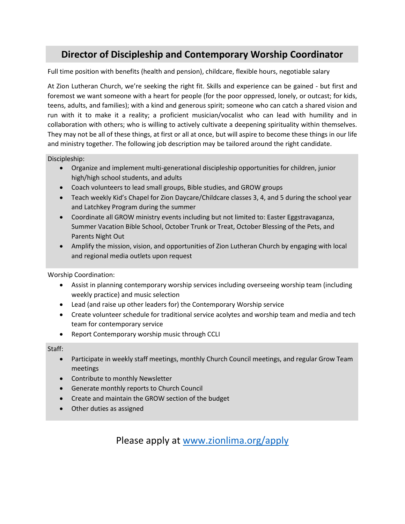## **Director of Discipleship and Contemporary Worship Coordinator**

Full time position with benefits (health and pension), childcare, flexible hours, negotiable salary

At Zion Lutheran Church, we're seeking the right fit. Skills and experience can be gained - but first and foremost we want someone with a heart for people (for the poor oppressed, lonely, or outcast; for kids, teens, adults, and families); with a kind and generous spirit; someone who can catch a shared vision and run with it to make it a reality; a proficient musician/vocalist who can lead with humility and in collaboration with others; who is willing to actively cultivate a deepening spirituality within themselves. They may not be all of these things, at first or all at once, but will aspire to become these things in our life and ministry together. The following job description may be tailored around the right candidate.

Discipleship:

- Organize and implement multi-generational discipleship opportunities for children, junior high/high school students, and adults
- Coach volunteers to lead small groups, Bible studies, and GROW groups
- Teach weekly Kid's Chapel for Zion Daycare/Childcare classes 3, 4, and 5 during the school year and Latchkey Program during the summer
- Coordinate all GROW ministry events including but not limited to: Easter Eggstravaganza, Summer Vacation Bible School, October Trunk or Treat, October Blessing of the Pets, and Parents Night Out
- Amplify the mission, vision, and opportunities of Zion Lutheran Church by engaging with local and regional media outlets upon request

Worship Coordination:

- Assist in planning contemporary worship services including overseeing worship team (including weekly practice) and music selection
- Lead (and raise up other leaders for) the Contemporary Worship service
- Create volunteer schedule for traditional service acolytes and worship team and media and tech team for contemporary service
- Report Contemporary worship music through CCLI

Staff:

- Participate in weekly staff meetings, monthly Church Council meetings, and regular Grow Team meetings
- Contribute to monthly Newsletter
- Generate monthly reports to Church Council
- Create and maintain the GROW section of the budget
- Other duties as assigned

Please apply at [www.zionlima.org/apply](http://www.zionlima.org/apply)